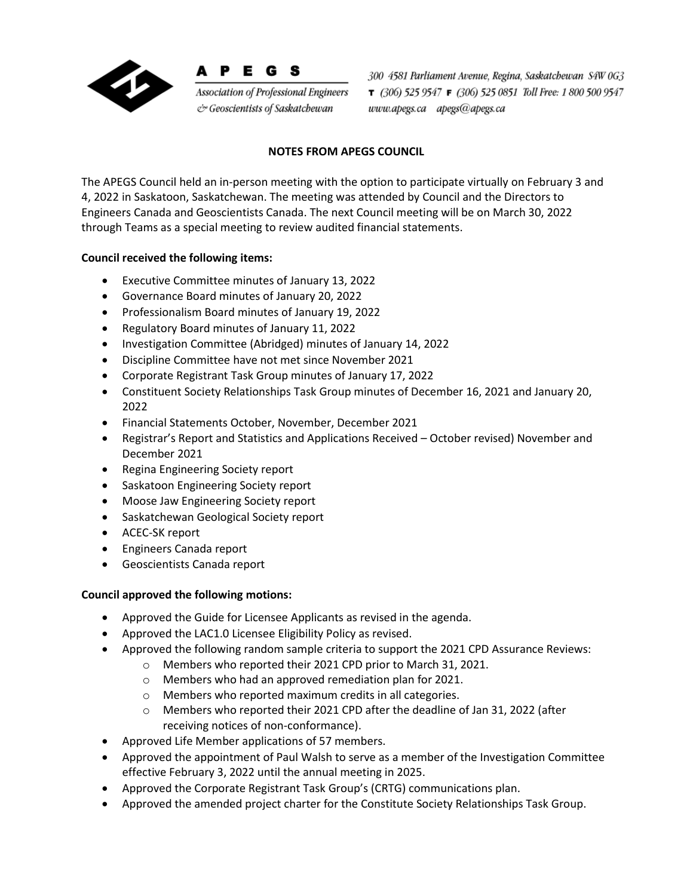

Р E G S

Association of Professional Engineers & Geoscientists of Saskatchewan

300 4581 Parliament Avenue, Regina, Saskatchewan S4W 0G3 T (306) 525 9547 F (306) 525 0851 Toll Free: 1 800 500 9547 www.apegs.ca apegs@apegs.ca

## **NOTES FROM APEGS COUNCIL**

The APEGS Council held an in-person meeting with the option to participate virtually on February 3 and 4, 2022 in Saskatoon, Saskatchewan. The meeting was attended by Council and the Directors to Engineers Canada and Geoscientists Canada. The next Council meeting will be on March 30, 2022 through Teams as a special meeting to review audited financial statements.

## **Council received the following items:**

- Executive Committee minutes of January 13, 2022
- Governance Board minutes of January 20, 2022
- Professionalism Board minutes of January 19, 2022
- Regulatory Board minutes of January 11, 2022
- Investigation Committee (Abridged) minutes of January 14, 2022
- Discipline Committee have not met since November 2021
- Corporate Registrant Task Group minutes of January 17, 2022
- Constituent Society Relationships Task Group minutes of December 16, 2021 and January 20, 2022
- Financial Statements October, November, December 2021
- Registrar's Report and Statistics and Applications Received October revised) November and December 2021
- Regina Engineering Society report
- Saskatoon Engineering Society report
- Moose Jaw Engineering Society report
- Saskatchewan Geological Society report
- ACEC-SK report
- Engineers Canada report
- Geoscientists Canada report

## **Council approved the following motions:**

- Approved the Guide for Licensee Applicants as revised in the agenda.
- Approved the LAC1.0 Licensee Eligibility Policy as revised.
- Approved the following random sample criteria to support the 2021 CPD Assurance Reviews:
	- o Members who reported their 2021 CPD prior to March 31, 2021.
	- o Members who had an approved remediation plan for 2021.
	- o Members who reported maximum credits in all categories.
	- o Members who reported their 2021 CPD after the deadline of Jan 31, 2022 (after receiving notices of non-conformance).
- Approved Life Member applications of 57 members.
- Approved the appointment of Paul Walsh to serve as a member of the Investigation Committee effective February 3, 2022 until the annual meeting in 2025.
- Approved the Corporate Registrant Task Group's (CRTG) communications plan.
- Approved the amended project charter for the Constitute Society Relationships Task Group.